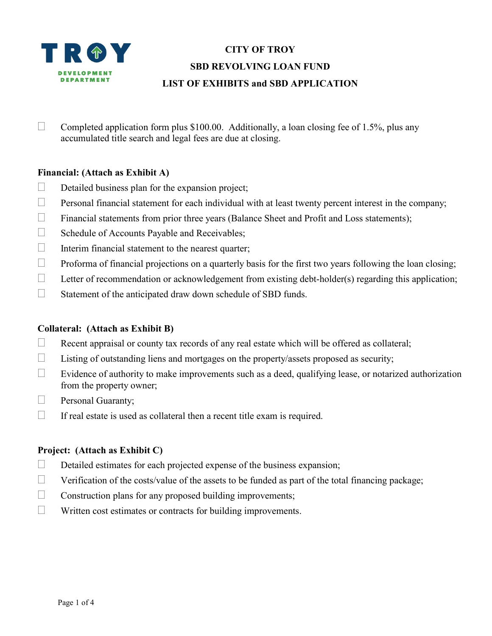

# CITY OF TROY SBD REVOLVING LOAN FUND LIST OF EXHIBITS and SBD APPLICATION

Completed application form plus \$100.00. Additionally, a loan closing fee of 1.5%, plus any accumulated title search and legal fees are due at closing.

## Financial: (Attach as Exhibit A)

- $\Box$  Detailed business plan for the expansion project;
- $\Box$  Personal financial statement for each individual with at least twenty percent interest in the company;
- $\Box$  Financial statements from prior three years (Balance Sheet and Profit and Loss statements);
- Schedule of Accounts Payable and Receivables;
- $\Box$  Interim financial statement to the nearest quarter;
- $\Box$  Proforma of financial projections on a quarterly basis for the first two years following the loan closing;
- $\Box$  Letter of recommendation or acknowledgement from existing debt-holder(s) regarding this application;
- $\Box$  Statement of the anticipated draw down schedule of SBD funds.

## Collateral: (Attach as Exhibit B)

- $\Box$  Recent appraisal or county tax records of any real estate which will be offered as collateral;
- $\Box$  Listing of outstanding liens and mortgages on the property/assets proposed as security;
- $\Box$  Evidence of authority to make improvements such as a deed, qualifying lease, or notarized authorization from the property owner;
- **Personal Guaranty;**
- $\Box$  If real estate is used as collateral then a recent title exam is required.

## Project: (Attach as Exhibit C)

- $\Box$  Detailed estimates for each projected expense of the business expansion;
- $\Box$  Verification of the costs/value of the assets to be funded as part of the total financing package;
- $\Box$  Construction plans for any proposed building improvements;
- Written cost estimates or contracts for building improvements.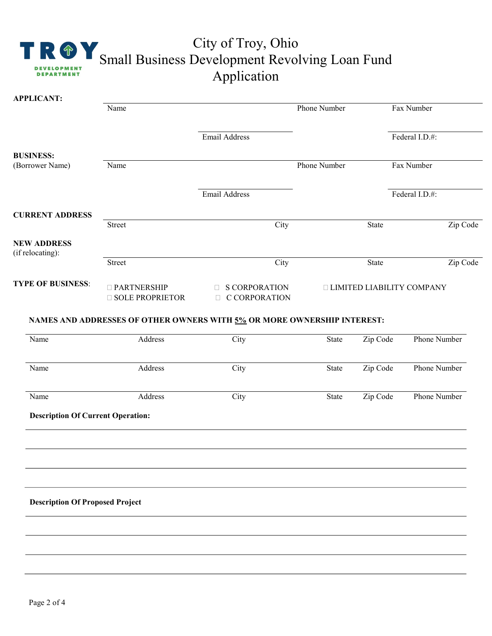

# City of Troy, Ohio Small Business Development Revolving Loan Fund Application

|                                          | Name                                    |                                                                         | Phone Number                     | Fax Number                        |                     |
|------------------------------------------|-----------------------------------------|-------------------------------------------------------------------------|----------------------------------|-----------------------------------|---------------------|
|                                          |                                         | Email Address                                                           |                                  |                                   | Federal I.D.#:      |
| <b>BUSINESS:</b>                         |                                         |                                                                         |                                  |                                   |                     |
| (Borrower Name)                          | Name                                    |                                                                         |                                  | <b>Phone Number</b><br>Fax Number |                     |
|                                          |                                         | <b>Email Address</b>                                                    |                                  |                                   | Federal I.D.#:      |
| <b>CURRENT ADDRESS</b>                   |                                         |                                                                         |                                  |                                   |                     |
|                                          | Street                                  | City                                                                    |                                  | State                             | Zip Code            |
| <b>NEW ADDRESS</b><br>(if relocating):   |                                         |                                                                         |                                  |                                   |                     |
|                                          | Street                                  | City                                                                    |                                  | State                             | Zip Code            |
| <b>TYPE OF BUSINESS:</b>                 | □ PARTNERSHIP<br><b>SOLE PROPRIETOR</b> | <b>S CORPORATION</b><br><b>C CORPORATION</b>                            | <b>LIMITED LIABILITY COMPANY</b> |                                   |                     |
|                                          |                                         | NAMES AND ADDRESSES OF OTHER OWNERS WITH 5% OR MORE OWNERSHIP INTEREST: |                                  |                                   |                     |
| Name                                     | Address                                 | $\overline{C}$ ity                                                      | State                            | Zip Code                          | <b>Phone Number</b> |
|                                          | Address                                 | City                                                                    | State                            | Zip Code                          | Phone Number        |
| Name                                     |                                         |                                                                         |                                  |                                   |                     |
| Name                                     | Address                                 | City                                                                    | State                            | Zip Code                          | Phone Number        |
| <b>Description Of Current Operation:</b> |                                         |                                                                         |                                  |                                   |                     |
|                                          |                                         |                                                                         |                                  |                                   |                     |
|                                          |                                         |                                                                         |                                  |                                   |                     |
|                                          |                                         |                                                                         |                                  |                                   |                     |
| <b>Description Of Proposed Project</b>   |                                         |                                                                         |                                  |                                   |                     |
|                                          |                                         |                                                                         |                                  |                                   |                     |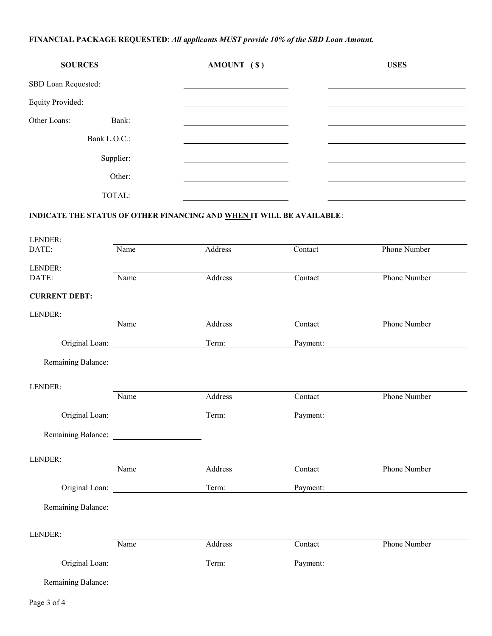## FINANCIAL PACKAGE REQUESTED: All applicants MUST provide 10% of the SBD Loan Amount.

| <b>SOURCES</b>          |              | AMOUNT $(S)$ | <b>USES</b> |
|-------------------------|--------------|--------------|-------------|
| SBD Loan Requested:     |              |              |             |
| <b>Equity Provided:</b> |              |              |             |
| Other Loans:            | Bank:        |              |             |
|                         | Bank L.O.C.: |              |             |
|                         | Supplier:    |              |             |
|                         | Other:       |              |             |
|                         | TOTAL:       |              |             |

# INDICATE THE STATUS OF OTHER FINANCING AND WHEN IT WILL BE AVAILABLE:

| LENDER:              |      |         |          |                     |
|----------------------|------|---------|----------|---------------------|
| DATE:                | Name | Address | Contact  | <b>Phone Number</b> |
| LENDER:              |      |         |          |                     |
| DATE:                | Name | Address | Contact  | Phone Number        |
| <b>CURRENT DEBT:</b> |      |         |          |                     |
| LENDER:              |      |         |          |                     |
|                      | Name | Address | Contact  | Phone Number        |
|                      |      | Term:   | Payment: |                     |
|                      |      |         |          |                     |
| LENDER:              |      |         |          |                     |
|                      | Name | Address | Contact  | <b>Phone Number</b> |
|                      |      | Term:   | Payment: |                     |
|                      |      |         |          |                     |
| LENDER:              |      |         |          |                     |
|                      | Name | Address | Contact  | Phone Number        |
|                      |      | Term:   | Payment: |                     |
|                      |      |         |          |                     |
| LENDER:              |      |         |          |                     |
|                      | Name | Address | Contact  | Phone Number        |
|                      |      | Term:   | Payment: |                     |
| Remaining Balance:   |      |         |          |                     |